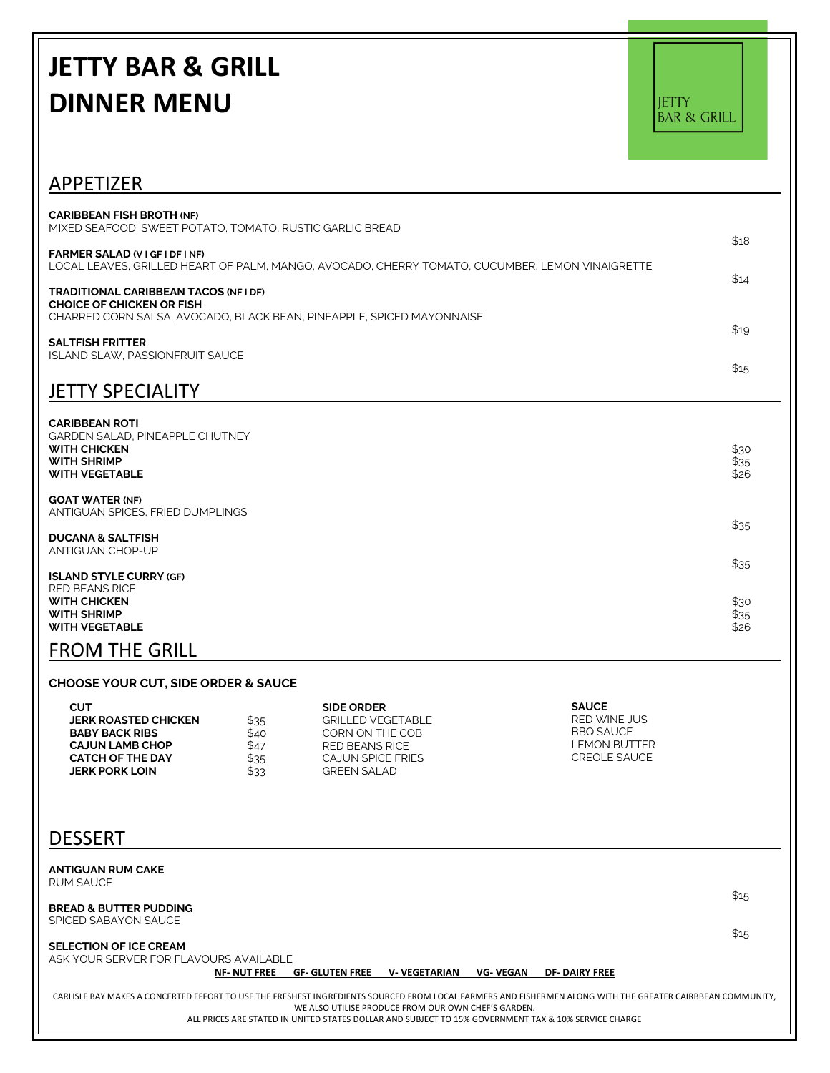## **JETTY BAR & GRILL DINNER MENU**

JETTY<br>BAR & GRILL

| APPETIZER                                                                                                                                                                                                                                                   |                      |
|-------------------------------------------------------------------------------------------------------------------------------------------------------------------------------------------------------------------------------------------------------------|----------------------|
| <b>CARIBBEAN FISH BROTH (NF)</b><br>MIXED SEAFOOD, SWEET POTATO, TOMATO, RUSTIC GARLIC BREAD<br><b>FARMER SALAD (VIGFIDEINE)</b>                                                                                                                            | \$18                 |
| LOCAL LEAVES, GRILLED HEART OF PALM, MANGO, AVOCADO, CHERRY TOMATO, CUCUMBER, LEMON VINAIGRETTE<br><b>TRADITIONAL CARIBBEAN TACOS (NFI DF)</b><br><b>CHOICE OF CHICKEN OR FISH</b><br>CHARRED CORN SALSA, AVOCADO, BLACK BEAN, PINEAPPLE, SPICED MAYONNAISE | \$14<br>\$19         |
| <b>SALTFISH FRITTER</b><br><b>ISLAND SLAW. PASSIONFRUIT SAUCE</b><br><b>JETTY SPECIALITY</b>                                                                                                                                                                | \$15                 |
| <b>CARIBBEAN ROTI</b><br><b>GARDEN SALAD, PINEAPPLE CHUTNEY</b><br><b>WITH CHICKEN</b><br><b>WITH SHRIMP</b><br><b>WITH VEGETABLE</b>                                                                                                                       | \$30<br>\$35<br>\$26 |
| <b>GOAT WATER (NF)</b><br>ANTIGUAN SPICES. FRIED DUMPLINGS                                                                                                                                                                                                  | \$35                 |
| <b>DUCANA &amp; SALTFISH</b><br>ANTIGUAN CHOP-UP                                                                                                                                                                                                            | \$35                 |
| <b>ISLAND STYLE CURRY (GF)</b><br><b>RED BEANS RICE</b><br><b>WITH CHICKEN</b><br><b>WITH SHRIMP</b><br><b>WITH VEGETABLE</b>                                                                                                                               | \$30<br>\$35<br>\$26 |
| <b>FROM THE GRILL</b>                                                                                                                                                                                                                                       |                      |

## **CHOOSE YOUR CUT, SIDE ORDER & SAUCE**

| сит                         |      | <b>SIDE ORDER</b> | <b>SAUCE</b>     |
|-----------------------------|------|-------------------|------------------|
| <b>JERK ROASTED CHICKEN</b> | \$35 | GRILLED VEGETABLE | RED WINE JUS     |
| <b>BABY BACK RIBS</b>       | \$40 | CORN ON THE COB   | <b>BBQ SAUCE</b> |
| <b>CAJUN LAMB CHOP</b>      | \$47 | RED BEANS RICE    | LEMON BUTTER     |
| <b>CATCH OF THE DAY</b>     | \$35 | CAJUN SPICE FRIES | CREOLE SAUCE     |
| <b>JERK PORK LOIN</b>       | \$33 | GREEN SALAD       |                  |

## **DESSERT**

| <b>ANTIGUAN RUM CAKE</b><br>RUM SAUCE                                                                                                                                                                                                                                                                                     |              |
|---------------------------------------------------------------------------------------------------------------------------------------------------------------------------------------------------------------------------------------------------------------------------------------------------------------------------|--------------|
| <b>BREAD &amp; BUTTER PUDDING</b><br>SPICED SABAYON SAUCE                                                                                                                                                                                                                                                                 | \$15<br>\$15 |
| <b>SELECTION OF ICE CREAM</b><br>ASK YOUR SERVER FOR FLAVOURS AVAILABLE<br><b>GF- GLUTEN FREE</b><br><b>V-VEGETARIAN</b><br>VG- VEGAN<br><b>NF-NUT FREE</b><br><b>DF-DAIRY FREE</b>                                                                                                                                       |              |
| CARLISLE BAY MAKES A CONCERTED EFFORT TO USE THE FRESHEST INGREDIENTS SOURCED FROM LOCAL FARMERS AND FISHERMEN ALONG WITH THE GREATER CAIRBBEAN COMMUNITY.<br>WE ALSO UTILISE PRODUCE FROM OUR OWN CHEF'S GARDEN.<br>ALL PRICES ARE STATED IN UNITED STATES DOLLAR AND SUBJECT TO 15% GOVERNMENT TAX & 10% SERVICE CHARGE |              |